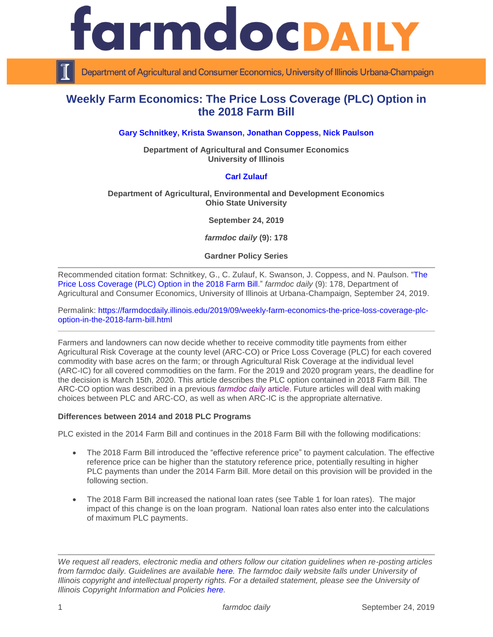

Department of Agricultural and Consumer Economics, University of Illinois Urbana-Champaign

# **Weekly Farm Economics: The Price Loss Coverage (PLC) Option in the 2018 Farm Bill**

# **[Gary Schnitkey,](https://ace.illinois.edu/directory/schnitke) [Krista Swanson,](https://ace.illinois.edu/directory/krista) [Jonathan Coppess,](https://ace.illinois.edu/directory/jwcoppes) [Nick Paulson](https://ace.illinois.edu/directory/npaulson)**

**Department of Agricultural and Consumer Economics University of Illinois**

## **[Carl Zulauf](http://aede.osu.edu/our-people/carl-zulauf)**

#### **Department of Agricultural, Environmental and Development Economics Ohio State University**

**September 24, 2019**

*farmdoc daily* **(9): 178**

**Gardner Policy Series**

Recommended citation format: Schnitkey, G., C. Zulauf, K. Swanson, J. Coppess, and N. Paulson. ["The](https://farmdocdaily.illinois.edu/2019/09/weekly-farm-economics-the-price-loss-coverage-plc-option-in-the-2018-farm-bill.html)  [Price Loss Coverage \(PLC\) Option in the 2018 Farm Bill.](https://farmdocdaily.illinois.edu/2019/09/weekly-farm-economics-the-price-loss-coverage-plc-option-in-the-2018-farm-bill.html)" *farmdoc daily* (9): 178, Department of Agricultural and Consumer Economics, University of Illinois at Urbana-Champaign, September 24, 2019.

Permalink: [https://farmdocdaily.illinois.edu/2019/09/weekly-farm-economics-the-price-loss-coverage-plc](https://farmdocdaily.illinois.edu/2019/09/weekly-farm-economics-the-price-loss-coverage-plc-option-in-the-2018-farm-bill.html)[option-in-the-2018-farm-bill.html](https://farmdocdaily.illinois.edu/2019/09/weekly-farm-economics-the-price-loss-coverage-plc-option-in-the-2018-farm-bill.html)

Farmers and landowners can now decide whether to receive commodity title payments from either Agricultural Risk Coverage at the county level (ARC-CO) or Price Loss Coverage (PLC) for each covered commodity with base acres on the farm; or through Agricultural Risk Coverage at the individual level (ARC-IC) for all covered commodities on the farm. For the 2019 and 2020 program years, the deadline for the decision is March 15th, 2020. This article describes the PLC option contained in 2018 Farm Bill. The ARC-CO option was described in a previous *[farmdoc](https://farmdocdaily.illinois.edu/2019/09/the-agricultural-risk-coverage-county-level-arc-co-option-in-the-2018-farm-bill.html) daily* article. Future articles will deal with making choices between PLC and ARC-CO, as well as when ARC-IC is the appropriate alternative.

## **Differences between 2014 and 2018 PLC Programs**

PLC existed in the 2014 Farm Bill and continues in the 2018 Farm Bill with the following modifications:

- The 2018 Farm Bill introduced the "effective reference price" to payment calculation. The effective reference price can be higher than the statutory reference price, potentially resulting in higher PLC payments than under the 2014 Farm Bill. More detail on this provision will be provided in the following section.
- The 2018 Farm Bill increased the national loan rates (see Table 1 for loan rates). The major impact of this change is on the loan program. National loan rates also enter into the calculations of maximum PLC payments.

*We request all readers, electronic media and others follow our citation guidelines when re-posting articles from farmdoc daily. Guidelines are available [here.](http://farmdocdaily.illinois.edu/citationguide.html) The farmdoc daily website falls under University of Illinois copyright and intellectual property rights. For a detailed statement, please see the University of Illinois Copyright Information and Policies [here.](http://www.cio.illinois.edu/policies/copyright/)*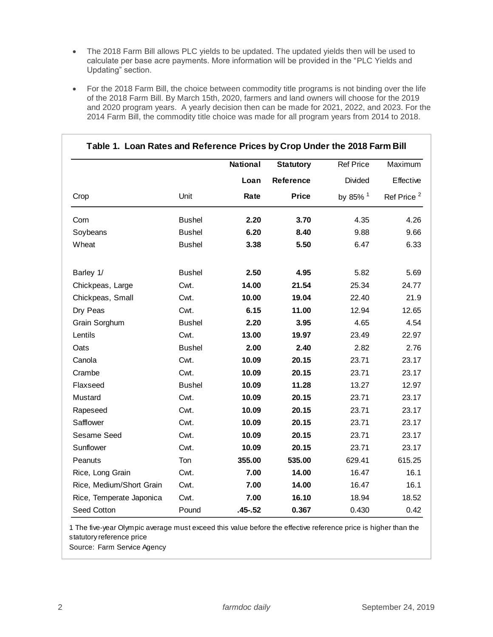- The 2018 Farm Bill allows PLC yields to be updated. The updated yields then will be used to calculate per base acre payments. More information will be provided in the "PLC Yields and Updating" section.
- For the 2018 Farm Bill, the choice between commodity title programs is not binding over the life of the 2018 Farm Bill. By March 15th, 2020, farmers and land owners will choose for the 2019 and 2020 program years. A yearly decision then can be made for 2021, 2022, and 2023. For the 2014 Farm Bill, the commodity title choice was made for all program years from 2014 to 2018.

|                          |               | <b>National</b> | <b>Statutory</b> |                     | <b>Ref Price</b>       | Maximum |
|--------------------------|---------------|-----------------|------------------|---------------------|------------------------|---------|
|                          |               | Loan            | Reference        | Divided             | Effective              |         |
| Crop                     | Unit          | Rate            | <b>Price</b>     | by 85% <sup>1</sup> | Ref Price <sup>2</sup> |         |
| Corn                     | <b>Bushel</b> | 2.20            | 3.70             | 4.35                | 4.26                   |         |
| Soybeans                 | <b>Bushel</b> | 6.20            | 8.40             | 9.88                | 9.66                   |         |
| Wheat                    | <b>Bushel</b> | 3.38            | 5.50             | 6.47                | 6.33                   |         |
| Barley 1/                | <b>Bushel</b> | 2.50            | 4.95             | 5.82                | 5.69                   |         |
| Chickpeas, Large         | Cwt.          | 14.00           | 21.54            | 25.34               | 24.77                  |         |
| Chickpeas, Small         | Cwt.          | 10.00           | 19.04            | 22.40               | 21.9                   |         |
| Dry Peas                 | Cwt.          | 6.15            | 11.00            | 12.94               | 12.65                  |         |
| Grain Sorghum            | <b>Bushel</b> | 2.20            | 3.95             | 4.65                | 4.54                   |         |
| Lentils                  | Cwt.          | 13.00           | 19.97            | 23.49               | 22.97                  |         |
| Oats                     | <b>Bushel</b> | 2.00            | 2.40             | 2.82                | 2.76                   |         |
| Canola                   | Cwt.          | 10.09           | 20.15            | 23.71               | 23.17                  |         |
| Crambe                   | Cwt.          | 10.09           | 20.15            | 23.71               | 23.17                  |         |
| Flaxseed                 | <b>Bushel</b> | 10.09           | 11.28            | 13.27               | 12.97                  |         |
| Mustard                  | Cwt.          | 10.09           | 20.15            | 23.71               | 23.17                  |         |
| Rapeseed                 | Cwt.          | 10.09           | 20.15            | 23.71               | 23.17                  |         |
| Safflower                | Cwt.          | 10.09           | 20.15            | 23.71               | 23.17                  |         |
| Sesame Seed              | Cwt.          | 10.09           | 20.15            | 23.71               | 23.17                  |         |
| Sunflower                | Cwt.          | 10.09           | 20.15            | 23.71               | 23.17                  |         |
| Peanuts                  | Ton           | 355.00          | 535.00           | 629.41              | 615.25                 |         |
| Rice, Long Grain         | Cwt.          | 7.00            | 14.00            | 16.47               | 16.1                   |         |
| Rice, Medium/Short Grain | Cwt.          | 7.00            | 14.00            | 16.47               | 16.1                   |         |
| Rice, Temperate Japonica | Cwt.          | 7.00            | 16.10            | 18.94               | 18.52                  |         |
| Seed Cotton              | Pound         | $.45 - .52$     | 0.367            | 0.430               | 0.42                   |         |

# **Table 1. Loan Rates and Reference Prices by Crop Under the 2018 Farm Bill**

1 The five-year Olympic average must exceed this value before the effective reference price is higher than the statutory reference price

Source: Farm Service Agency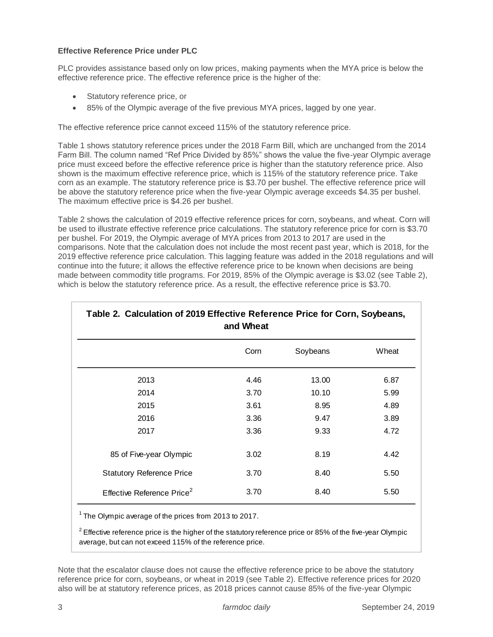# **Effective Reference Price under PLC**

PLC provides assistance based only on low prices, making payments when the MYA price is below the effective reference price. The effective reference price is the higher of the:

- Statutory reference price, or
- 85% of the Olympic average of the five previous MYA prices, lagged by one year.

The effective reference price cannot exceed 115% of the statutory reference price.

Table 1 shows statutory reference prices under the 2018 Farm Bill, which are unchanged from the 2014 Farm Bill. The column named "Ref Price Divided by 85%" shows the value the five-year Olympic average price must exceed before the effective reference price is higher than the statutory reference price. Also shown is the maximum effective reference price, which is 115% of the statutory reference price. Take corn as an example. The statutory reference price is \$3.70 per bushel. The effective reference price will be above the statutory reference price when the five-year Olympic average exceeds \$4.35 per bushel. The maximum effective price is \$4.26 per bushel.

Table 2 shows the calculation of 2019 effective reference prices for corn, soybeans, and wheat. Corn will be used to illustrate effective reference price calculations. The statutory reference price for corn is \$3.70 per bushel. For 2019, the Olympic average of MYA prices from 2013 to 2017 are used in the comparisons. Note that the calculation does not include the most recent past year, which is 2018, for the 2019 effective reference price calculation. This lagging feature was added in the 2018 regulations and will continue into the future; it allows the effective reference price to be known when decisions are being made between commodity title programs. For 2019, 85% of the Olympic average is \$3.02 (see Table 2), which is below the statutory reference price. As a result, the effective reference price is \$3.70.

|                                                                                                                                                                          | Corn | Soybeans | Wheat |
|--------------------------------------------------------------------------------------------------------------------------------------------------------------------------|------|----------|-------|
| 2013                                                                                                                                                                     | 4.46 | 13.00    | 6.87  |
| 2014                                                                                                                                                                     | 3.70 | 10.10    | 5.99  |
| 2015                                                                                                                                                                     | 3.61 | 8.95     | 4.89  |
| 2016                                                                                                                                                                     | 3.36 | 9.47     | 3.89  |
| 2017                                                                                                                                                                     | 3.36 | 9.33     | 4.72  |
| 85 of Five-year Olympic                                                                                                                                                  | 3.02 | 8.19     | 4.42  |
| <b>Statutory Reference Price</b>                                                                                                                                         | 3.70 | 8.40     | 5.50  |
| Effective Reference Price <sup>2</sup>                                                                                                                                   | 3.70 | 8.40     | 5.50  |
| $1$ The Olympic average of the prices from 2013 to 2017.<br>$2$ Effective reference price is the higher of the statutory reference price or 85% of the five-year Olympic |      |          |       |
| average, but can not exceed 115% of the reference price.                                                                                                                 |      |          |       |

# **Table 2. Calculation of 2019 Effective Reference Price for Corn, Soybeans,**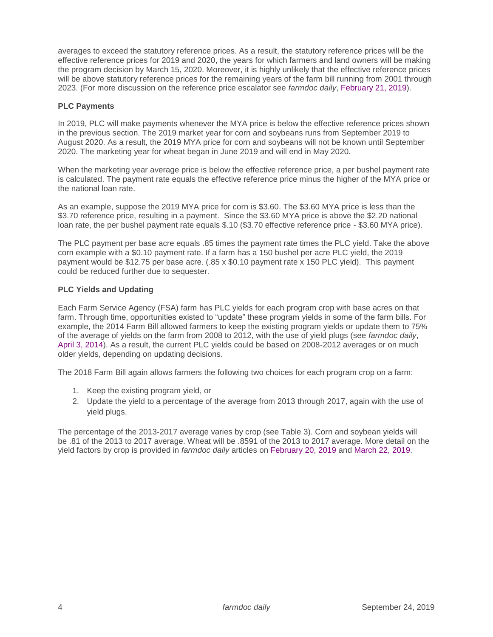averages to exceed the statutory reference prices. As a result, the statutory reference prices will be the effective reference prices for 2019 and 2020, the years for which farmers and land owners will be making the program decision by March 15, 2020. Moreover, it is highly unlikely that the effective reference prices will be above statutory reference prices for the remaining years of the farm bill running from 2001 through 2023. (For more discussion on the reference price escalator see *farmdoc daily*, [February 21, 2019\)](https://farmdocdaily.illinois.edu/2019/02/2018-farm-bill-reference-price-escalator-for-2019-market-year.html).

# **PLC Payments**

In 2019, PLC will make payments whenever the MYA price is below the effective reference prices shown in the previous section. The 2019 market year for corn and soybeans runs from September 2019 to August 2020. As a result, the 2019 MYA price for corn and soybeans will not be known until September 2020. The marketing year for wheat began in June 2019 and will end in May 2020.

When the marketing year average price is below the effective reference price, a per bushel payment rate is calculated. The payment rate equals the effective reference price minus the higher of the MYA price or the national loan rate.

As an example, suppose the 2019 MYA price for corn is \$3.60. The \$3.60 MYA price is less than the \$3.70 reference price, resulting in a payment. Since the \$3.60 MYA price is above the \$2.20 national loan rate, the per bushel payment rate equals \$.10 (\$3.70 effective reference price - \$3.60 MYA price).

The PLC payment per base acre equals .85 times the payment rate times the PLC yield. Take the above corn example with a \$0.10 payment rate. If a farm has a 150 bushel per acre PLC yield, the 2019 payment would be \$12.75 per base acre. (.85 x \$0.10 payment rate x 150 PLC yield). This payment could be reduced further due to sequester.

# **PLC Yields and Updating**

Each Farm Service Agency (FSA) farm has PLC yields for each program crop with base acres on that farm. Through time, opportunities existed to "update" these program yields in some of the farm bills. For example, the 2014 Farm Bill allowed farmers to keep the existing program yields or update them to 75% of the average of yields on the farm from 2008 to 2012, with the use of yield plugs (see *farmdoc daily*, [April 3, 2014\)](https://farmdocdaily.illinois.edu/2014/04/2014-farm-bill-updating-payment-yields.html). As a result, the current PLC yields could be based on 2008-2012 averages or on much older yields, depending on updating decisions.

The 2018 Farm Bill again allows farmers the following two choices for each program crop on a farm:

- 1. Keep the existing program yield, or
- 2. Update the yield to a percentage of the average from 2013 through 2017, again with the use of yield plugs.

The percentage of the 2013-2017 average varies by crop (see Table 3). Corn and soybean yields will be .81 of the 2013 to 2017 average. Wheat will be .8591 of the 2013 to 2017 average. More detail on the yield factors by crop is provided in *farmdoc daily* articles on [February 20, 2019](https://farmdocdaily.illinois.edu/2019/02/understanding-the-2018-farm-bill-plc-yield-update.html) and [March 22, 2019.](https://farmdocdaily.illinois.edu/2019/03/understanding-the-2018-farm-bill-plc-yield-update-corn-soybean-sorghum-and-upland-cotton-by-state.html)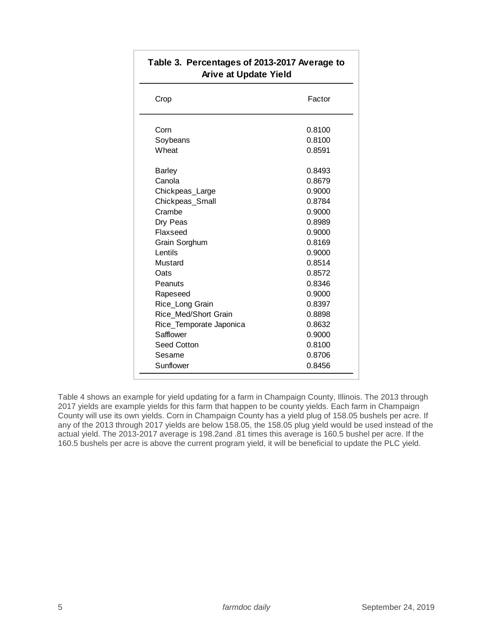| Crop                    | Factor |
|-------------------------|--------|
| Corn                    | 0.8100 |
| Soybeans                | 0.8100 |
| Wheat                   | 0.8591 |
| Barley                  | 0.8493 |
| Canola                  | 0.8679 |
| Chickpeas_Large         | 0.9000 |
| Chickpeas_Small         | 0.8784 |
| Crambe                  | 0.9000 |
| Dry Peas                | 0.8989 |
| Flaxseed                | 0.9000 |
| Grain Sorghum           | 0.8169 |
| Lentils                 | 0.9000 |
| Mustard                 | 0.8514 |
| Oats                    | 0.8572 |
| Peanuts                 | 0.8346 |
| Rapeseed                | 0.9000 |
| Rice_Long Grain         | 0.8397 |
| Rice Med/Short Grain    | 0.8898 |
| Rice_Temporate Japonica | 0.8632 |
| Safflower               | 0.9000 |
| Seed Cotton             | 0.8100 |
| Sesame                  | 0.8706 |
| Sunflower               | 0.8456 |

# **Table 3. Percentages of 2013-2017 Average to Arive at Update Yield**

Table 4 shows an example for yield updating for a farm in Champaign County, Illinois. The 2013 through 2017 yields are example yields for this farm that happen to be county yields. Each farm in Champaign County will use its own yields. Corn in Champaign County has a yield plug of 158.05 bushels per acre. If any of the 2013 through 2017 yields are below 158.05, the 158.05 plug yield would be used instead of the actual yield. The 2013-2017 average is 198.2and .81 times this average is 160.5 bushel per acre. If the 160.5 bushels per acre is above the current program yield, it will be beneficial to update the PLC yield.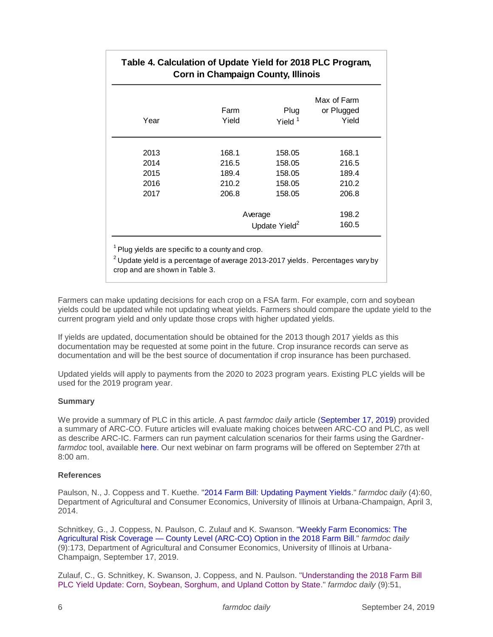|      |                           | Max of Farm |            |  |
|------|---------------------------|-------------|------------|--|
|      | Farm                      | <b>Plug</b> | or Plugged |  |
| Year | Yield                     | Yield $1$   | Yield      |  |
| 2013 | 168.1                     | 158.05      | 168.1      |  |
| 2014 | 216.5                     | 158.05      | 216.5      |  |
| 2015 | 189.4                     | 158.05      | 189.4      |  |
| 2016 | 210.2                     | 158.05      | 210.2      |  |
| 2017 | 206.8                     | 158.05      | 206.8      |  |
|      | Average                   |             | 198.2      |  |
|      | Update Yield <sup>2</sup> | 160.5       |            |  |

crop and are shown in Table 3.

Farmers can make updating decisions for each crop on a FSA farm. For example, corn and soybean yields could be updated while not updating wheat yields. Farmers should compare the update yield to the current program yield and only update those crops with higher updated yields.

If yields are updated, documentation should be obtained for the 2013 though 2017 yields as this documentation may be requested at some point in the future. Crop insurance records can serve as documentation and will be the best source of documentation if crop insurance has been purchased.

Updated yields will apply to payments from the 2020 to 2023 program years. Existing PLC yields will be used for the 2019 program year.

## **Summary**

We provide a summary of PLC in this article. A past *farmdoc daily* article [\(September 17, 2019\)](https://farmdocdaily.illinois.edu/2019/09/the-agricultural-risk-coverage-county-level-arc-co-option-in-the-2018-farm-bill.html) provided a summary of ARC-CO. Future articles will evaluate making choices between ARC-CO and PLC, as well as describe ARC-IC. Farmers can run payment calculation scenarios for their farms using the Gardner*farmdoc* tool, available [here.](https://fd-tools.ncsa.illinois.edu/) Our next webinar on farm programs will be offered on September 27th at 8:00 am.

## **References**

Paulson, N., J. Coppess and T. Kuethe. ["2014 Farm Bill: Updating Payment Yields.](https://farmdocdaily.illinois.edu/2014/04/2014-farm-bill-updating-payment-yields.html)" *farmdoc daily* (4):60, Department of Agricultural and Consumer Economics, University of Illinois at Urbana-Champaign, April 3, 2014.

Schnitkey, G., J. Coppess, N. Paulson, C. Zulauf and K. Swanson. ["Weekly Farm Economics: The](https://farmdocdaily.illinois.edu/2019/09/the-agricultural-risk-coverage-county-level-arc-co-option-in-the-2018-farm-bill.html)  Agricultural Risk Coverage — [County Level \(ARC-CO\) Option in the 2018 Farm](https://farmdocdaily.illinois.edu/2019/09/the-agricultural-risk-coverage-county-level-arc-co-option-in-the-2018-farm-bill.html) Bill." *farmdoc daily* (9):173, Department of Agricultural and Consumer Economics, University of Illinois at Urbana-Champaign, September 17, 2019.

Zulauf, C., G. Schnitkey, K. Swanson, J. Coppess, and N. Paulson. ["Understanding the 2018 Farm Bill](https://farmdocdaily.illinois.edu/2019/03/understanding-the-2018-farm-bill-plc-yield-update-corn-soybean-sorghum-and-upland-cotton-by-state.html)  [PLC Yield Update: Corn, Soybean, Sorghum, and Upland Cotton by State.](https://farmdocdaily.illinois.edu/2019/03/understanding-the-2018-farm-bill-plc-yield-update-corn-soybean-sorghum-and-upland-cotton-by-state.html)" *farmdoc daily* (9):51,